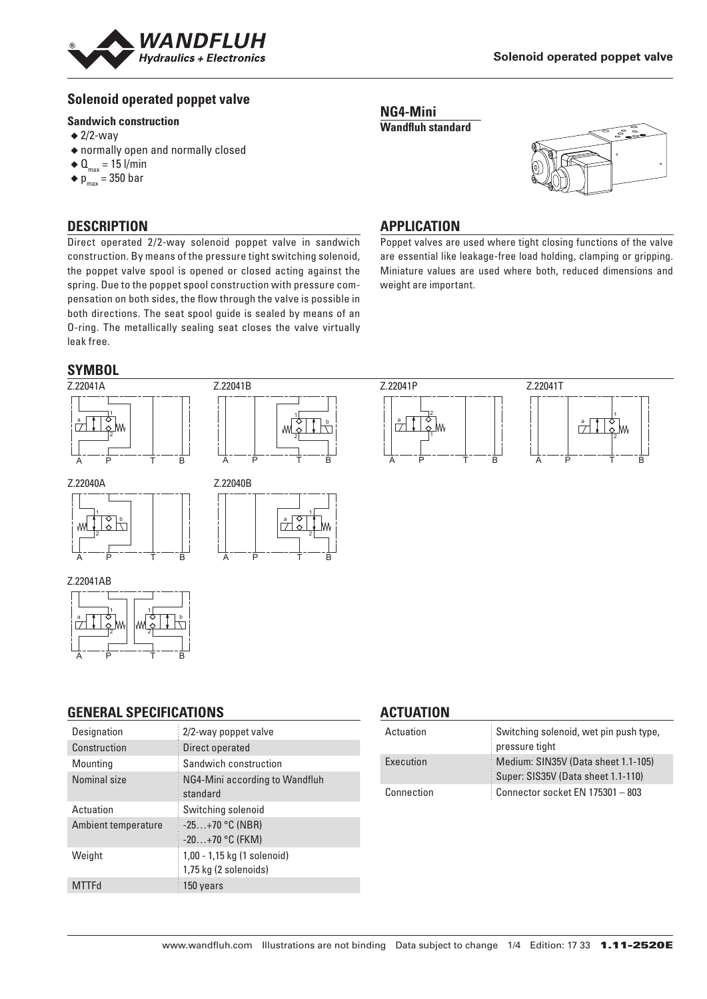

# **Solenoid operated poppet valve**

#### **Sandwich construction**

- $\triangleq$  2/2-way
- ◆ normally open and normally closed
- $\triangleleft$  Q<sub>max</sub> = 15 l/min
- $\bullet$  p<sub>max</sub> = 350 bar



Poppet valves are used where tight closing functions of the valve are essential like leakage-free load holding, clamping or gripping. Miniature values are used where both, reduced dimensions and

### **DESCRIPTION**

Direct operated 2/2-way solenoid poppet valve in sandwich construction. By means of the pressure tight switching solenoid, the poppet valve spool is opened or closed acting against the spring. Due to the poppet spool construction with pressure compensation on both sides, the flow through the valve is possible in both directions. The seat spool guide is sealed by means of an O-ring. The metallically sealing seat closes the valve virtually leak free.

# **SYMBOL**



**NG4-Mini Wandfluh standard**

**APPLICATION**

weight are important.

#### **GENERAL SPECIFICATIONS**

A P T B

| Designation         | 2/2-way poppet valve                                 |
|---------------------|------------------------------------------------------|
| Construction        | Direct operated                                      |
| Mounting            | Sandwich construction                                |
| Nominal size        | NG4-Mini according to Wandfluh<br>standard           |
| Actuation           | Switching solenoid                                   |
| Ambient temperature | $-25+70$ °C (NBR)<br>$-20+70$ °C (FKM)               |
| Weight              | 1,00 - 1,15 kg (1 solenoid)<br>1,75 kg (2 solenoids) |
| <b>MTTFd</b>        | 150 years                                            |

#### **ACTUATION**

| Actuation  | Switching solenoid, wet pin push type,<br>pressure tight                  |
|------------|---------------------------------------------------------------------------|
| Execution  | Medium: SIN35V (Data sheet 1.1-105)<br>Super: SIS35V (Data sheet 1.1-110) |
| Connection | Connector socket EN 175301 - 803                                          |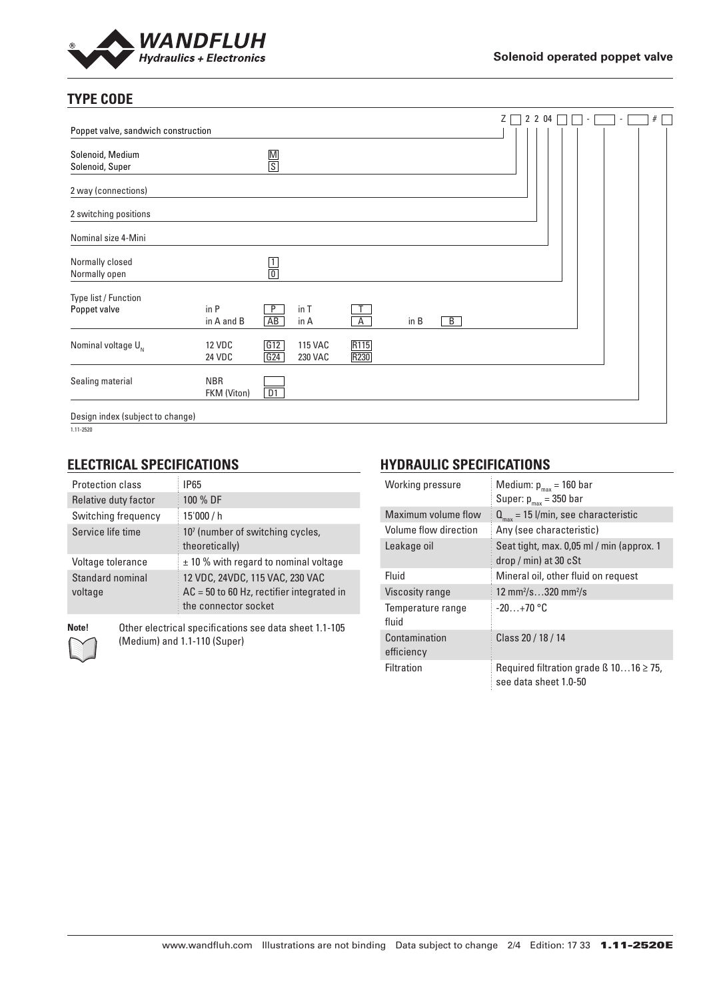

# **TYPE CODE**

|                                      |                                |               |                           |                                      |      |                | Ζ | 2 2 04 |  | $\sim$ | ٠ | # |  |
|--------------------------------------|--------------------------------|---------------|---------------------------|--------------------------------------|------|----------------|---|--------|--|--------|---|---|--|
| Poppet valve, sandwich construction  |                                |               |                           |                                      |      |                |   |        |  |        |   |   |  |
| Solenoid, Medium<br>Solenoid, Super  |                                | $\frac{M}{S}$ |                           |                                      |      |                |   |        |  |        |   |   |  |
| 2 way (connections)                  |                                |               |                           |                                      |      |                |   |        |  |        |   |   |  |
| 2 switching positions                |                                |               |                           |                                      |      |                |   |        |  |        |   |   |  |
| Nominal size 4-Mini                  |                                |               |                           |                                      |      |                |   |        |  |        |   |   |  |
| Normally closed<br>Normally open     |                                | $\frac{1}{0}$ |                           |                                      |      |                |   |        |  |        |   |   |  |
| Type list / Function<br>Poppet valve | in P<br>in A and B             | P<br>AB       | in T<br>in A              | $\overline{A}$                       | in B | $\overline{B}$ |   |        |  |        |   |   |  |
| Nominal voltage $U_{N}$              | <b>12 VDC</b><br><b>24 VDC</b> | G12<br>G24    | <b>115 VAC</b><br>230 VAC | R <sub>115</sub><br>R <sub>230</sub> |      |                |   |        |  |        |   |   |  |
| Sealing material                     | <b>NBR</b><br>FKM (Viton)      | D1            |                           |                                      |      |                |   |        |  |        |   |   |  |
| Design index (subject to change)     |                                |               |                           |                                      |      |                |   |        |  |        |   |   |  |

1.11-2520

## **ELECTRICAL SPECIFICATIONS**

| Protection class            | <b>IP65</b>                                                                                            |
|-----------------------------|--------------------------------------------------------------------------------------------------------|
| Relative duty factor        | 100 % DF                                                                                               |
| Switching frequency         | 15'000 / h                                                                                             |
| Service life time           | 107 (number of switching cycles,<br>theoretically)                                                     |
| Voltage tolerance           | $\pm$ 10 % with regard to nominal voltage                                                              |
| Standard nominal<br>voltage | 12 VDC, 24VDC, 115 VAC, 230 VAC<br>$AC = 50$ to 60 Hz, rectifier integrated in<br>the connector socket |

**Note!** Other electrical specifications see data sheet 1.1-105 (Medium) and 1.1-110 (Super)

### **HYDRAULIC SPECIFICATIONS**

| Working pressure            | Medium: $p_{max}$ = 160 bar<br>Super: $p_{max} = 350$ bar                  |
|-----------------------------|----------------------------------------------------------------------------|
| Maximum volume flow         | $Q_{\text{max}}$ = 15 l/min, see characteristic                            |
| Volume flow direction       | Any (see characteristic)                                                   |
| Leakage oil                 | Seat tight, max. 0,05 ml / min (approx. 1<br>$drop / min)$ at 30 $cSt$     |
| Fluid                       | Mineral oil, other fluid on request                                        |
| Viscosity range             | 12 mm <sup>2</sup> /s320 mm <sup>2</sup> /s                                |
| Temperature range<br>fluid  | $-20+70$ °C                                                                |
| Contamination<br>efficiency | Class 20 / 18 / 14                                                         |
| Filtration                  | Required filtration grade $\beta$ 1016 $\geq$ 75,<br>see data sheet 1.0-50 |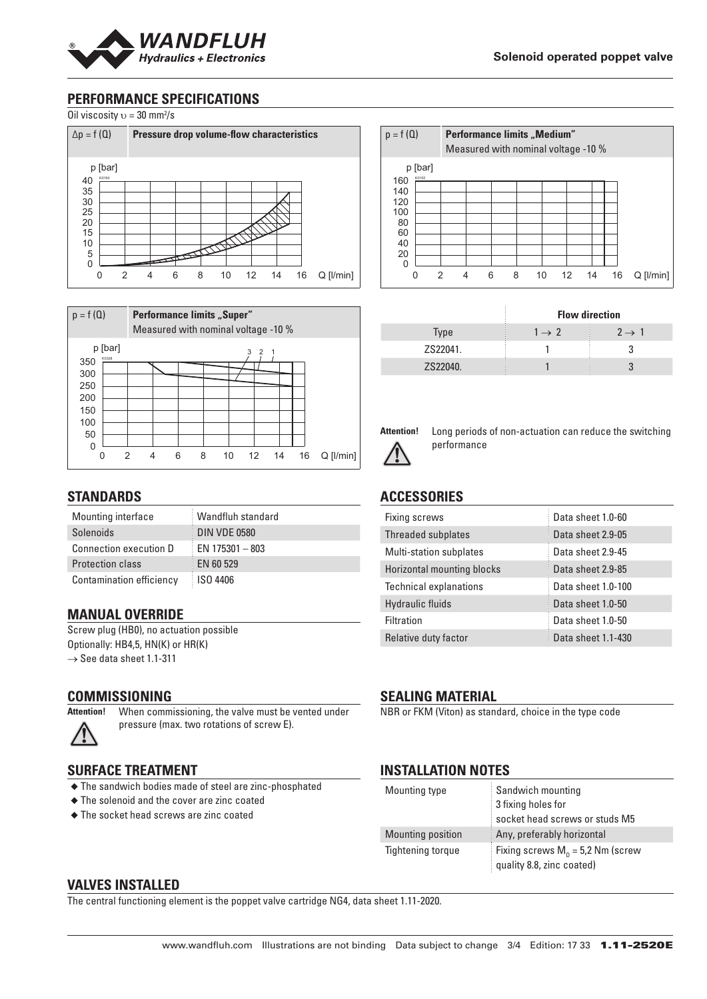

### **PERFORMANCE SPECIFICATIONS**

Oil viscosity  $v = 30$  mm<sup>2</sup>/s





#### **STANDARDS**

| Mounting interface            | Wandfluh standard |
|-------------------------------|-------------------|
| Solenoids                     | DIN VDE 0580      |
| <b>Connection execution D</b> | EN 175301 - 803   |
| <b>Protection class</b>       | <b>EN 60 529</b>  |
| Contamination efficiency      | ISO 4406          |

#### **MANUAL OVERRIDE**

Screw plug (HB0), no actuation possible Optionally: HB4,5, HN(K) or HR(K)  $\rightarrow$  See data sheet 1.1-311

#### **COMMISSIONING**

**Attention!** When commissioning, the valve must be vented under pressure (max. two rotations of screw E).

#### **SURFACE TREATMENT**

- ◆ The sandwich bodies made of steel are zinc-phosphated
- ◆ The solenoid and the cover are zinc coated
- ◆ The socket head screws are zinc coated

| $p = f(Q)$ |                  |        | <b>Performance limits "Medium"</b><br>Measured with nominal voltage -10 % |   |    |       |  |    |                 |
|------------|------------------|--------|---------------------------------------------------------------------------|---|----|-------|--|----|-----------------|
| 160        | p [bar]<br>K0152 |        |                                                                           |   |    |       |  |    |                 |
| 140<br>120 |                  |        |                                                                           |   |    |       |  |    |                 |
| 100<br>80  |                  |        |                                                                           |   |    |       |  |    |                 |
| 60         |                  |        |                                                                           |   |    |       |  |    |                 |
| 40<br>20   |                  |        |                                                                           |   |    |       |  |    |                 |
| O          |                  | 2<br>4 | 6                                                                         | 8 | 10 | 12 14 |  | 16 | $Q$ [ $l/min$ ] |

|             | <b>Flow direction</b> |                   |  |  |  |
|-------------|-----------------------|-------------------|--|--|--|
| <b>Type</b> | $1 \rightarrow 2$     | $2 \rightarrow 1$ |  |  |  |
| ZS22041.    |                       |                   |  |  |  |
| ZS22040.    |                       |                   |  |  |  |



**Attention!** Long periods of non-actuation can reduce the switching performance

### **ACCESSORIES**

| Fixing screws                  | Data sheet 1.0-60  |
|--------------------------------|--------------------|
| Threaded subplates             | Data sheet 2.9-05  |
| <b>Multi-station subplates</b> | Data sheet 2.9-45  |
| Horizontal mounting blocks     | Data sheet 2.9-85  |
| <b>Technical explanations</b>  | Data sheet 1.0-100 |
| <b>Hydraulic fluids</b>        | Data sheet 1.0-50  |
| <b>Filtration</b>              | Data sheet 1.0-50  |
| Relative duty factor           | Data sheet 1.1-430 |

### **SEALING MATERIAL**

NBR or FKM (Viton) as standard, choice in the type code

#### **INSTALLATION NOTES**

| Mounting type     | Sandwich mounting                   |
|-------------------|-------------------------------------|
|                   | 3 fixing holes for                  |
|                   | socket head screws or studs M5      |
| Mounting position | Any, preferably horizontal          |
| Tightening torque | Fixing screws $M_p = 5.2$ Nm (screw |
|                   | quality 8.8, zinc coated)           |

#### **VALVES INSTALLED**

The central functioning element is the poppet valve cartridge NG4, data sheet 1.11-2020.